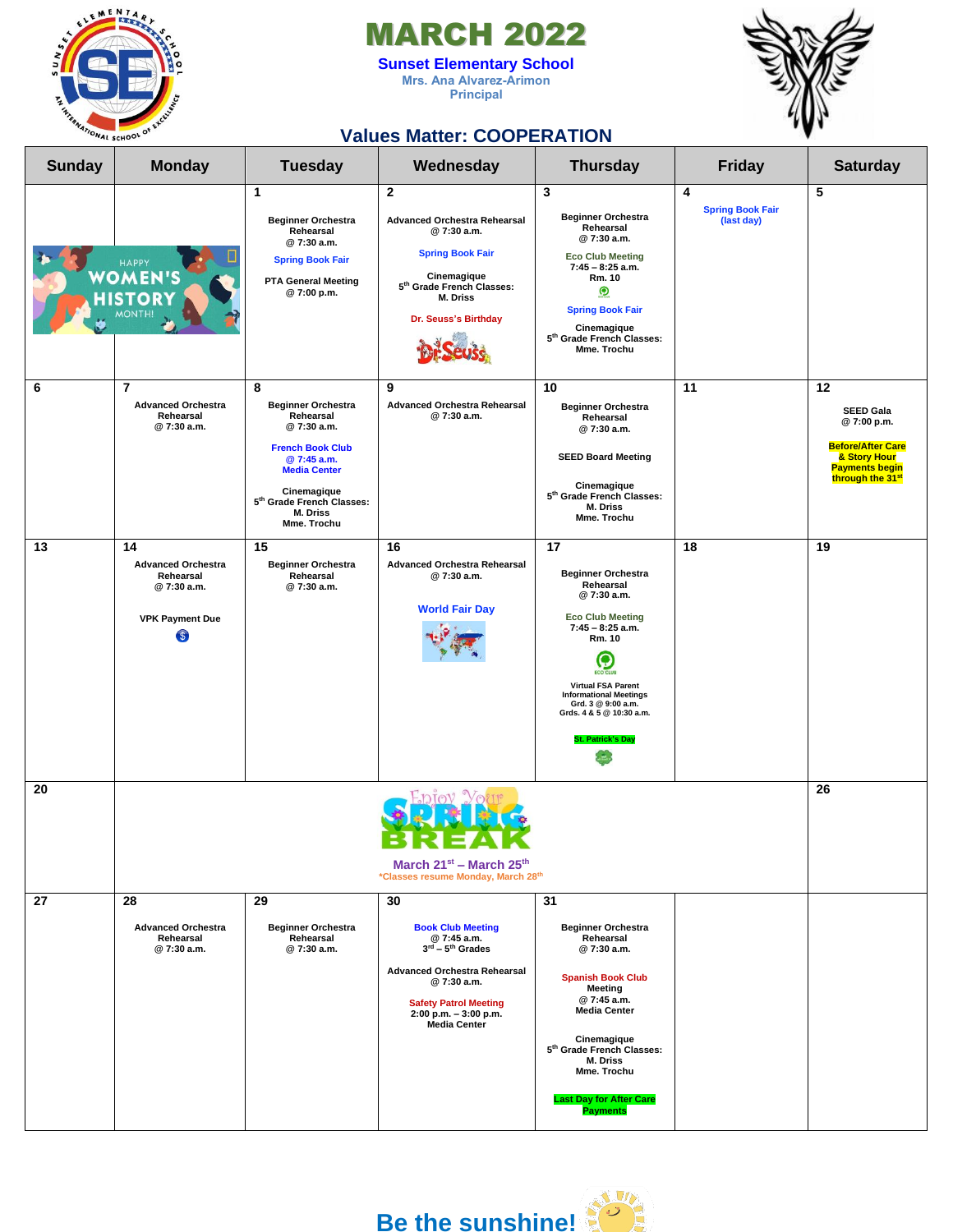

## MARCH 2022

**Sunset Elementary School Mrs. Ana Alvarez-Arimon Principal**



## **Values Matter: COOPERATION**

| <b>Sunday</b> | <b>Monday</b>                                                                             | <b>Tuesday</b>                                                                                                                                                                                    | Wednesday                                                                                                                                                                                                                    | <b>Thursday</b>                                                                                                                                                                                                                                                                   | <b>Friday</b>                              | <b>Saturday</b>                                                                                                                           |
|---------------|-------------------------------------------------------------------------------------------|---------------------------------------------------------------------------------------------------------------------------------------------------------------------------------------------------|------------------------------------------------------------------------------------------------------------------------------------------------------------------------------------------------------------------------------|-----------------------------------------------------------------------------------------------------------------------------------------------------------------------------------------------------------------------------------------------------------------------------------|--------------------------------------------|-------------------------------------------------------------------------------------------------------------------------------------------|
|               | HAPPY<br><b>OMEN'S</b><br>Ο<br>MONTH!                                                     | $\mathbf{1}$<br><b>Beginner Orchestra</b><br>Rehearsal<br>@7:30 a.m.<br><b>Spring Book Fair</b><br><b>PTA General Meeting</b><br>@ 7:00 p.m.                                                      | $\mathbf{2}$<br><b>Advanced Orchestra Rehearsal</b><br>@ 7:30 a.m.<br><b>Spring Book Fair</b><br>Cinemagique<br>5th Grade French Classes:<br>M. Driss<br>Dr. Seuss's Birthday                                                | 3<br><b>Beginner Orchestra</b><br>Rehearsal<br>@7:30 a.m.<br><b>Eco Club Meeting</b><br>$7:45 - 8:25$ a.m.<br>Rm. 10<br>$\boldsymbol{\Omega}$<br><b>Spring Book Fair</b><br>Cinemagique<br>5th Grade French Classes:<br>Mme. Trochu                                               | 4<br><b>Spring Book Fair</b><br>(last day) | 5                                                                                                                                         |
| 6             | 7<br><b>Advanced Orchestra</b><br>Rehearsal<br>@7:30 a.m.                                 | 8<br><b>Beginner Orchestra</b><br>Rehearsal<br>@7:30 a.m.<br><b>French Book Club</b><br>@ 7:45 a.m.<br><b>Media Center</b><br>Cinemagique<br>5th Grade French Classes:<br>M. Driss<br>Mme. Trochu | 9<br><b>Advanced Orchestra Rehearsal</b><br>@7:30 a.m.                                                                                                                                                                       | 10<br><b>Beginner Orchestra</b><br>Rehearsal<br>@7:30 a.m.<br><b>SEED Board Meeting</b><br>Cinemagique<br>5 <sup>th</sup> Grade French Classes:<br>M. Driss<br>Mme. Trochu                                                                                                        | 11                                         | 12<br><b>SEED Gala</b><br>@7:00 p.m.<br><b>Before/After Care</b><br>& Story Hour<br><b>Payments begin</b><br>through the 31 <sup>st</sup> |
| 13            | 14<br><b>Advanced Orchestra</b><br>Rehearsal<br>@7:30 a.m.<br><b>VPK Payment Due</b><br>S | 15<br><b>Beginner Orchestra</b><br>Rehearsal<br>@7:30 a.m.                                                                                                                                        | 16<br><b>Advanced Orchestra Rehearsal</b><br>@7:30 a.m.<br><b>World Fair Day</b>                                                                                                                                             | 17<br><b>Beginner Orchestra</b><br>Rehearsal<br>@7:30 a.m.<br><b>Eco Club Meeting</b><br>$7:45 - 8:25$ a.m.<br>Rm. 10<br>$\mathbf{Q}$<br><b>Virtual FSA Parent</b><br><b>Informational Meetings</b><br>Grd. 3 @ 9:00 a.m.<br>Grds. 4 & 5 @ 10:30 a.m.<br><b>St. Patrick's Day</b> | 18                                         | 19                                                                                                                                        |
| 20            |                                                                                           |                                                                                                                                                                                                   | March 21 <sup>st</sup> - March 25 <sup>th</sup><br>*Classes resume Monday, March 28th                                                                                                                                        |                                                                                                                                                                                                                                                                                   |                                            | 26                                                                                                                                        |
| 27            | 28<br><b>Advanced Orchestra</b><br>Rehearsal<br>@7:30 a.m.                                | 29<br><b>Beginner Orchestra</b><br>Rehearsal<br>@7:30 a.m.                                                                                                                                        | 30<br><b>Book Club Meeting</b><br>@ 7:45 a.m.<br>$3^{\text{rd}} - 5^{\text{th}}$ Grades<br><b>Advanced Orchestra Rehearsal</b><br>@7:30 a.m.<br><b>Safety Patrol Meeting</b><br>2:00 p.m. - 3:00 p.m.<br><b>Media Center</b> | 31<br><b>Beginner Orchestra</b><br>Rehearsal<br>@7:30 a.m.<br><b>Spanish Book Club</b><br>Meeting<br>@ 7:45 a.m.<br><b>Media Center</b><br>Cinemagique<br>5th Grade French Classes:<br>M. Driss<br>Mme. Trochu<br><b>Last Day for After Care</b><br><b>Payments</b>               |                                            |                                                                                                                                           |